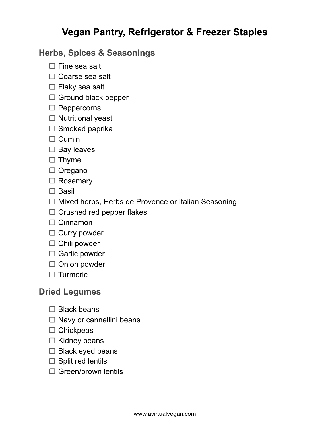# **Vegan Pantry, Refrigerator & Freezer Staples**

# **Herbs, Spices & Seasonings**

- $\Box$  Fine sea salt
- $\Box$  Coarse sea salt
- $\Box$  Flaky sea salt
- $\Box$  Ground black pepper
- $\square$  Peppercorns
- $\Box$  Nutritional yeast
- $\square$  Smoked paprika
- $\Box$  Cumin
- $\square$  Bay leaves
- $\Box$  Thyme
- □ Oregano
- □ Rosemary
- $\square$  Basil
- $\Box$  Mixed herbs, Herbs de Provence or Italian Seasoning
- $\Box$  Crushed red pepper flakes
- $\Box$  Cinnamon
- $\Box$  Curry powder
- $\Box$  Chili powder
- $\Box$  Garlic powder
- $\Box$  Onion powder
- $\Box$  Turmeric

#### **Dried Legumes**

- $\Box$  Black beans
- $\Box$  Navy or cannellini beans
- $\Box$  Chickpeas
- $\Box$  Kidney beans
- $\Box$  Black eyed beans
- $\Box$  Split red lentils
- □ Green/brown lentils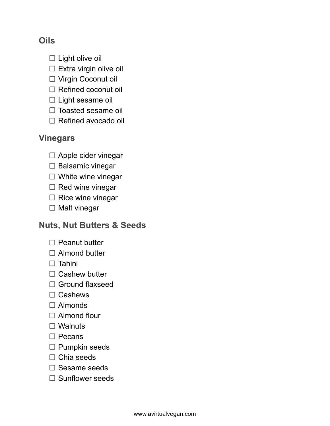# **Oils**

- $\square$  Light olive oil
- $\square$  Extra virgin olive oil
- □ Virgin Coconut oil
- $\Box$  Refined coconut oil
- $\square$  Light sesame oil
- $\Box$  Toasted sesame oil
- □ Refined avocado oil

#### **Vinegars**

- $\Box$  Apple cider vinegar
- $\square$  Balsamic vinegar
- $\Box$  White wine vinegar
- $\Box$  Red wine vinegar
- $\Box$  Rice wine vinegar
- $\Box$  Malt vinegar

# **Nuts, Nut Butters & Seeds**

- $\Box$  Peanut butter
- □ Almond butter
- $\square$  Tahini
- $\Box$  Cashew butter
- □ Ground flaxseed
- $\Box$  Cashews
- □ Almonds
- □ Almond flour
- □ Walnuts
- $\square$  Pecans
- $\square$  Pumpkin seeds
- $\Box$  Chia seeds
- $\square$  Sesame seeds
- $\square$  Sunflower seeds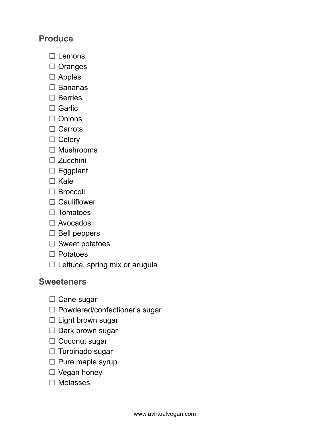### **Produce**

- $\Box$  Lemons
- $\Box$  Oranges
- $\square$  Apples
- $\Box$  Bananas
- $\square$  Berries
- □ Garlic
- $\Box$  Onions
- $\Box$  Carrots
- $\Box$  Celery
- $\Box$  Mushrooms
- □ Zucchini
- □ Eggplant
- $\Box$  Kale
- □ Broccoli
- $\Box$  Cauliflower
- $\square$  Tomatoes
- □ Avocados
- $\square$  Bell peppers
- $\square$  Sweet potatoes
- $\square$  Potatoes
- $\square$  Lettuce, spring mix or arugula

#### **Sweeteners**

- $\Box$  Cane sugar
- □ Powdered/confectioner's sugar
- $\Box$  Light brown sugar
- $\square$  Dark brown sugar
- □ Coconut sugar
- $\Box$  Turbinado sugar
- $\square$  Pure maple syrup
- $\Box$  Vegan honey
- $\square$  Molasses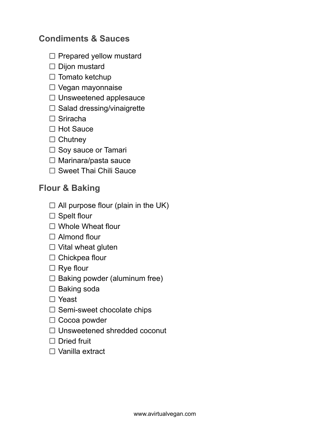# **Condiments & Sauces**

- $\Box$  Prepared yellow mustard
- $\square$  Dijon mustard
- $\Box$  Tomato ketchup
- □ Vegan mayonnaise
- $\Box$  Unsweetened applesauce
- $\square$  Salad dressing/vinaigrette
- $\Box$  Sriracha
- □ Hot Sauce
- $\Box$  Chutney
- $\Box$  Soy sauce or Tamari
- $\Box$  Marinara/pasta sauce
- □ Sweet Thai Chili Sauce

# **Flour & Baking**

- $\Box$  All purpose flour (plain in the UK)
- $\Box$  Spelt flour
- □ Whole Wheat flour
- $\Box$  Almond flour
- $\Box$  Vital wheat gluten
- $\Box$  Chickpea flour
- $\Box$  Rye flour
- $\Box$  Baking powder (aluminum free)
- $\square$  Baking soda
- □ Yeast
- $\square$  Semi-sweet chocolate chips
- $\Box$  Cocoa powder
- □ Unsweetened shredded coconut
- $\Box$  Dried fruit
- □ Vanilla extract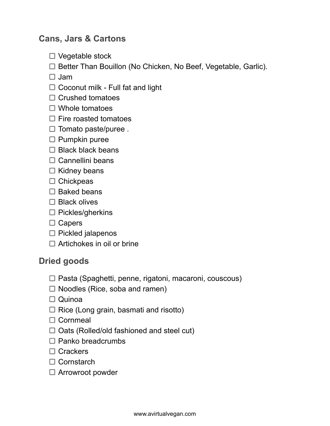### **Cans, Jars & Cartons**

- $\Box$  Vegetable stock
- $\Box$  Better Than Bouillon (No Chicken, No Beef, Vegetable, Garlic).

 $\Box$  Jam

- $\Box$  Coconut milk Full fat and light
- $\Box$  Crushed tomatoes
- □ Whole tomatoes
- $\Box$  Fire roasted tomatoes
- $\Box$  Tomato paste/puree.
- $\square$  Pumpkin puree
- $\Box$  Black black beans
- $\Box$  Cannellini beans
- $\Box$  Kidney beans
- $\Box$  Chickpeas
- $\Box$  Baked beans
- $\Box$  Black olives
- $\square$  Pickles/gherkins
- $\Box$  Capers
- $\Box$  Pickled jalapenos
- $\Box$  Artichokes in oil or brine

#### **Dried goods**

- $\Box$  Pasta (Spaghetti, penne, rigatoni, macaroni, couscous)
- $\Box$  Noodles (Rice, soba and ramen)
- Quinoa
- $\Box$  Rice (Long grain, basmati and risotto)
- □ Cornmeal
- $\Box$  Oats (Rolled/old fashioned and steel cut)
- $\Box$  Panko breadcrumbs
- □ Crackers
- $\Box$  Cornstarch
- □ Arrowroot powder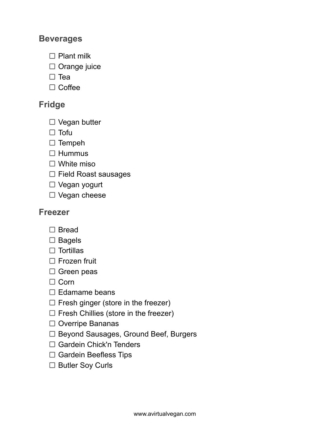#### **Beverages**

- $\Box$  Plant milk
- $\Box$  Orange juice
- $\square$  Tea
- $\Box$  Coffee

#### **Fridge**

- $\Box$  Vegan butter
- $\Box$  Tofu
- $\square$  Tempeh
- $\Box$  Hummus
- □ White miso
- $\Box$  Field Roast sausages
- □ Vegan yogurt
- □ Vegan cheese

#### **Freezer**

- □ Bread
- $\square$  Bagels
- $\square$  Tortillas
- $\Box$  Frozen fruit
- $\square$  Green peas
- $\Box$  Corn
- $\Box$  Edamame beans
- $\Box$  Fresh ginger (store in the freezer)
- $\Box$  Fresh Chillies (store in the freezer)
- $\Box$  Overripe Bananas
- □ Beyond Sausages, Ground Beef, Burgers
- □ Gardein Chick'n Tenders
- $\Box$  Gardein Beefless Tips
- □ Butler Soy Curls